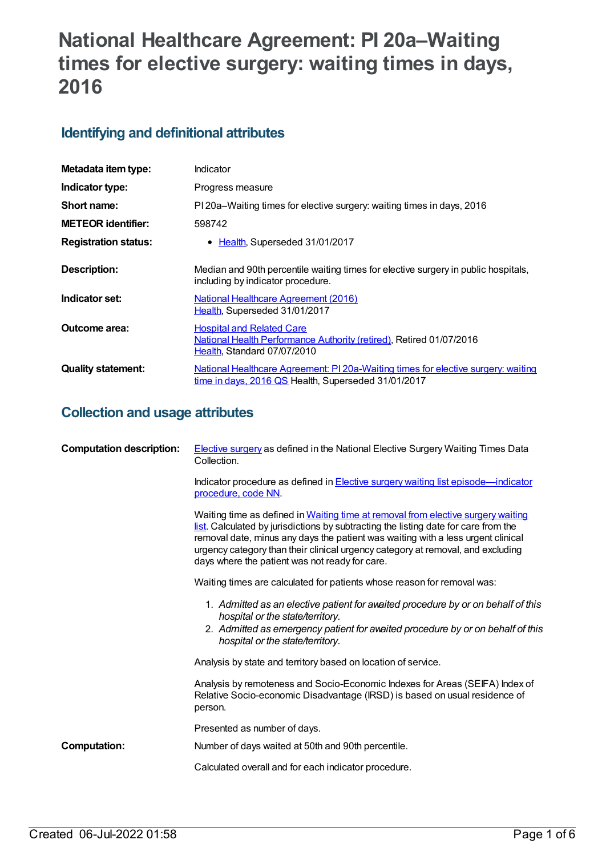# **National Healthcare Agreement: PI 20a–Waiting times for elective surgery: waiting times in days, 2016**

## **Identifying and definitional attributes**

| Metadata item type:         | Indicator                                                                                                                                |
|-----------------------------|------------------------------------------------------------------------------------------------------------------------------------------|
| Indicator type:             | Progress measure                                                                                                                         |
| Short name:                 | PI 20a–Waiting times for elective surgery: waiting times in days, 2016                                                                   |
| <b>METEOR identifier:</b>   | 598742                                                                                                                                   |
| <b>Registration status:</b> | • Health, Superseded 31/01/2017                                                                                                          |
| <b>Description:</b>         | Median and 90th percentile waiting times for elective surgery in public hospitals,<br>including by indicator procedure.                  |
| Indicator set:              | <b>National Healthcare Agreement (2016)</b><br>Health, Superseded 31/01/2017                                                             |
| <b>Outcome area:</b>        | <b>Hospital and Related Care</b><br>National Health Performance Authority (retired), Retired 01/07/2016<br>Health, Standard 07/07/2010   |
| <b>Quality statement:</b>   | National Healthcare Agreement: PI 20a-Waiting times for elective surgery: waiting<br>time in days, 2016 QS Health, Superseded 31/01/2017 |

## **Collection and usage attributes**

| <b>Computation description:</b> | <b>Elective surgery as defined in the National Elective Surgery Waiting Times Data</b><br>Collection.                                                                                                                                                                                                                                                                                            |
|---------------------------------|--------------------------------------------------------------------------------------------------------------------------------------------------------------------------------------------------------------------------------------------------------------------------------------------------------------------------------------------------------------------------------------------------|
|                                 | Indicator procedure as defined in <b>Elective surgery waiting list episode</b> —indicator<br>procedure, code NN.                                                                                                                                                                                                                                                                                 |
|                                 | Waiting time as defined in Waiting time at removal from elective surgery waiting<br>list. Calculated by jurisdictions by subtracting the listing date for care from the<br>removal date, minus any days the patient was waiting with a less urgent clinical<br>urgency category than their clinical urgency category at removal, and excluding<br>days where the patient was not ready for care. |
|                                 | Waiting times are calculated for patients whose reason for removal was:                                                                                                                                                                                                                                                                                                                          |
|                                 | 1. Admitted as an elective patient for awaited procedure by or on behalf of this<br>hospital or the state/territory.<br>2. Admitted as emergency patient for avaited procedure by or on behalf of this<br>hospital or the state/territory.                                                                                                                                                       |
|                                 | Analysis by state and territory based on location of service.                                                                                                                                                                                                                                                                                                                                    |
|                                 | Analysis by remoteness and Socio-Economic Indexes for Areas (SEIFA) Index of<br>Relative Socio-economic Disadvantage (IRSD) is based on usual residence of<br>person.                                                                                                                                                                                                                            |
|                                 | Presented as number of days.                                                                                                                                                                                                                                                                                                                                                                     |
| <b>Computation:</b>             | Number of days waited at 50th and 90th percentile.                                                                                                                                                                                                                                                                                                                                               |
|                                 | Calculated overall and for each indicator procedure.                                                                                                                                                                                                                                                                                                                                             |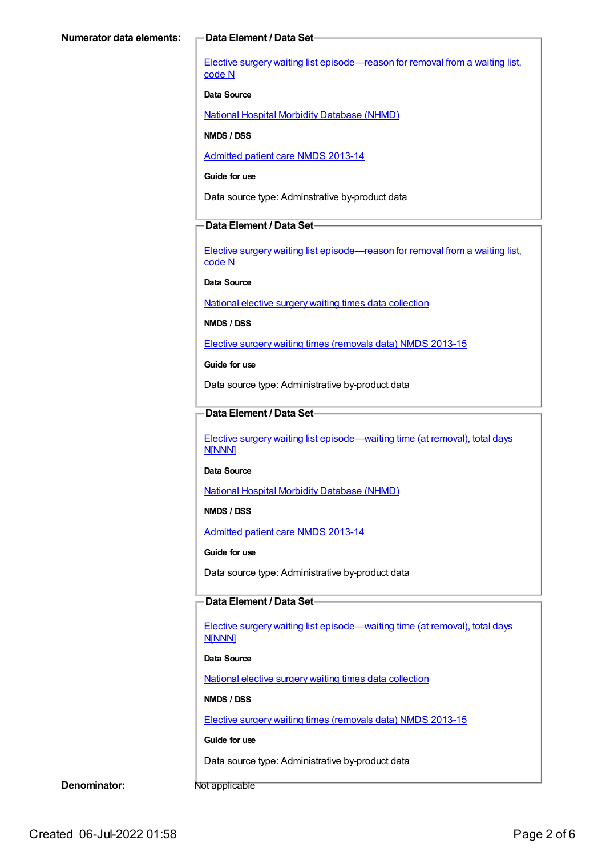Elective surgery waiting list [episode—reason](https://meteor.aihw.gov.au/content/471735) for removal from a waiting list, code N

#### **Data Source**

National Hospital Morbidity [Database](https://meteor.aihw.gov.au/content/394352) (NHMD)

**NMDS / DSS**

[Admitted](https://meteor.aihw.gov.au/content/491555) patient care NMDS 2013-14

**Guide for use**

Data source type: Adminstrative by-product data

## **Data Element / Data Set**

Elective surgery waiting list [episode—reason](https://meteor.aihw.gov.au/content/471735) for removal from a waiting list, code N

**Data Source**

National elective surgery waiting times data [collection](https://meteor.aihw.gov.au/content/635534)

**NMDS / DSS**

Elective surgery waiting times [\(removals](https://meteor.aihw.gov.au/content/520154) data) NMDS 2013-15

**Guide for use**

Data source type: Administrative by-product data

## **Data Element / Data Set**

Elective surgery waiting list [episode—waiting](https://meteor.aihw.gov.au/content/471744) time (at removal), total days N[NNN]

**Data Source**

National Hospital Morbidity [Database](https://meteor.aihw.gov.au/content/394352) (NHMD)

**NMDS / DSS**

[Admitted](https://meteor.aihw.gov.au/content/491555) patient care NMDS 2013-14

**Guide for use**

Data source type: Administrative by-product data

## **Data Element / Data Set**

Elective surgery waiting list [episode—waiting](https://meteor.aihw.gov.au/content/471744) time (at removal), total days **N[NNN]** 

**Data Source**

National elective surgery waiting times data [collection](https://meteor.aihw.gov.au/content/635534)

**NMDS / DSS**

Elective surgery waiting times [\(removals](https://meteor.aihw.gov.au/content/520154) data) NMDS 2013-15

**Guide for use**

Data source type: Administrative by-product data

**Denominator:** Not applicable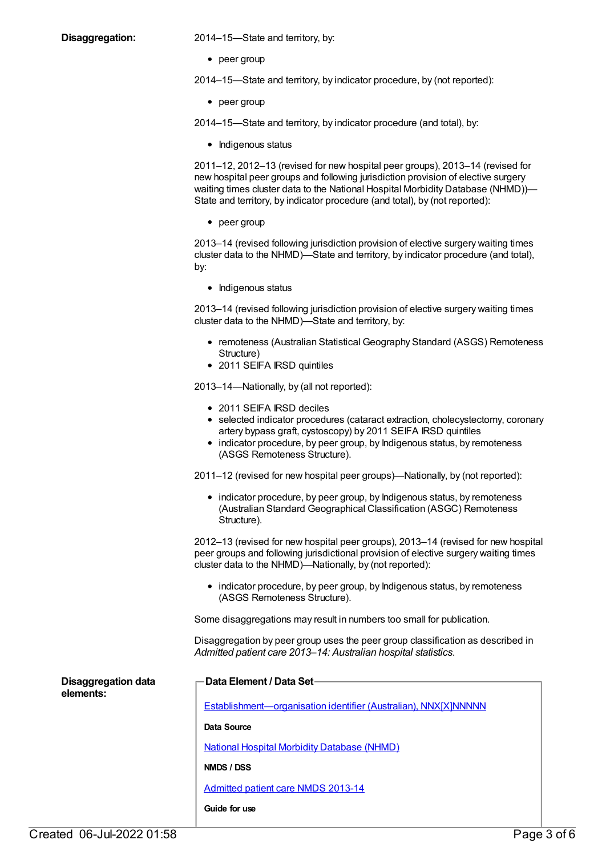**Disaggregation:** 2014–15—State and territory, by:

• peer group

2014–15—State and territory, by indicator procedure, by (not reported):

• peer group

2014–15—State and territory, by indicator procedure (and total), by:

• Indigenous status

2011–12, 2012–13 (revised for new hospital peer groups), 2013–14 (revised for new hospital peer groups and following jurisdiction provision of elective surgery waiting times cluster data to the National Hospital Morbidity Database (NHMD))— State and territory, by indicator procedure (and total), by (not reported):

 $\bullet$  peer group

2013–14 (revised following jurisdiction provision of elective surgery waiting times cluster data to the NHMD)—State and territory, by indicator procedure (and total), by:

• Indigenous status

2013–14 (revised following jurisdiction provision of elective surgery waiting times cluster data to the NHMD)—State and territory, by:

- remoteness (Australian Statistical Geography Standard (ASGS) Remoteness Structure)
- 2011 SEIFA IRSD quintiles

2013–14—Nationally, by (all not reported):

- 2011 SEIFA IRSD deciles
- selected indicator procedures (cataract extraction, cholecystectomy, coronary artery bypass graft, cystoscopy) by 2011 SEIFA IRSD quintiles
- indicator procedure, by peer group, by Indigenous status, by remoteness (ASGS Remoteness Structure).

2011–12 (revised for new hospital peer groups)—Nationally, by (not reported):

• indicator procedure, by peer group, by Indigenous status, by remoteness (Australian Standard Geographical Classification (ASGC) Remoteness Structure).

2012–13 (revised for new hospital peer groups), 2013–14 (revised for new hospital peer groups and following jurisdictional provision of elective surgery waiting times cluster data to the NHMD)—Nationally, by (not reported):

• indicator procedure, by peer group, by Indigenous status, by remoteness (ASGS Remoteness Structure).

Some disaggregations may result in numbers too small for publication.

Disaggregation by peer group uses the peer group classification as described in *Admitted patient care 2013–14: Australian hospital statistics*.

| <b>Disaggregation data</b><br>elements: | <b>Data Element / Data Set-</b>                                 |  |
|-----------------------------------------|-----------------------------------------------------------------|--|
|                                         | Establishment-organisation identifier (Australian), NNX[X]NNNNN |  |
|                                         | Data Source                                                     |  |
|                                         | <b>National Hospital Morbidity Database (NHMD)</b>              |  |
|                                         | NMDS / DSS                                                      |  |
|                                         | Admitted patient care NMDS 2013-14                              |  |
|                                         | Guide for use                                                   |  |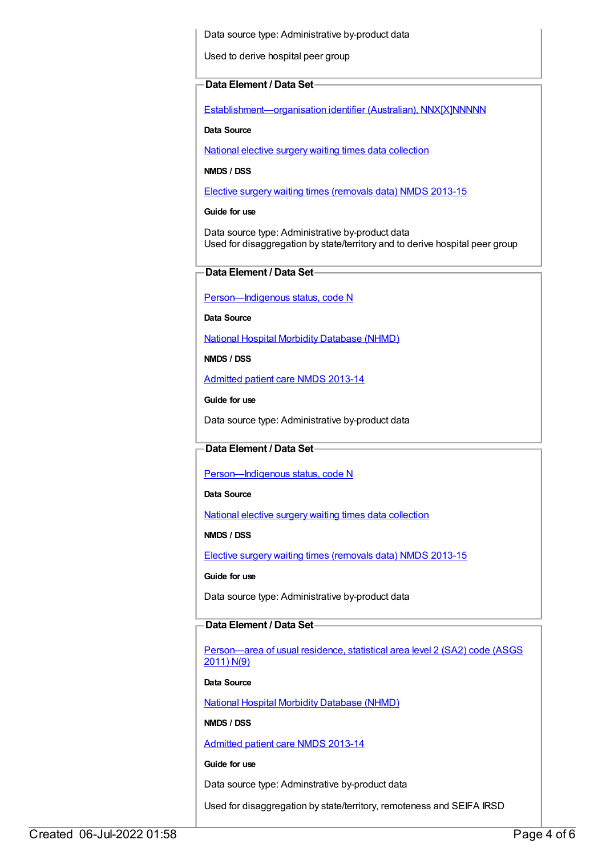Data source type: Administrative by-product data

Used to derive hospital peer group

#### **Data Element / Data Set**

[Establishment—organisation](https://meteor.aihw.gov.au/content/269973) identifier (Australian), NNX[X]NNNNN

#### **Data Source**

National elective surgery waiting times data [collection](https://meteor.aihw.gov.au/content/635534)

#### **NMDS / DSS**

Elective surgery waiting times [\(removals](https://meteor.aihw.gov.au/content/520154) data) NMDS 2013-15

**Guide for use**

Data source type: Administrative by-product data Used for disaggregation by state/territory and to derive hospital peer group

## **Data Element / Data Set**

[Person—Indigenous](https://meteor.aihw.gov.au/content/291036) status, code N

**Data Source**

National Hospital Morbidity [Database](https://meteor.aihw.gov.au/content/394352) (NHMD)

**NMDS / DSS**

[Admitted](https://meteor.aihw.gov.au/content/491555) patient care NMDS 2013-14

**Guide for use**

Data source type: Administrative by-product data

## **Data Element / Data Set**

[Person—Indigenous](https://meteor.aihw.gov.au/content/291036) status, code N

**Data Source**

National elective surgery waiting times data [collection](https://meteor.aihw.gov.au/content/635534)

**NMDS / DSS**

Elective surgery waiting times [\(removals](https://meteor.aihw.gov.au/content/520154) data) NMDS 2013-15

**Guide for use**

Data source type: Administrative by-product data

## **Data Element / Data Set**

[Person—area](https://meteor.aihw.gov.au/content/469909) of usual residence, statistical area level 2 (SA2) code (ASGS 2011) N(9)

#### **Data Source**

National Hospital Morbidity [Database](https://meteor.aihw.gov.au/content/394352) (NHMD)

**NMDS / DSS**

[Admitted](https://meteor.aihw.gov.au/content/491555) patient care NMDS 2013-14

**Guide for use**

Data source type: Adminstrative by-product data

Used for disaggregation by state/territory, remoteness and SEIFA IRSD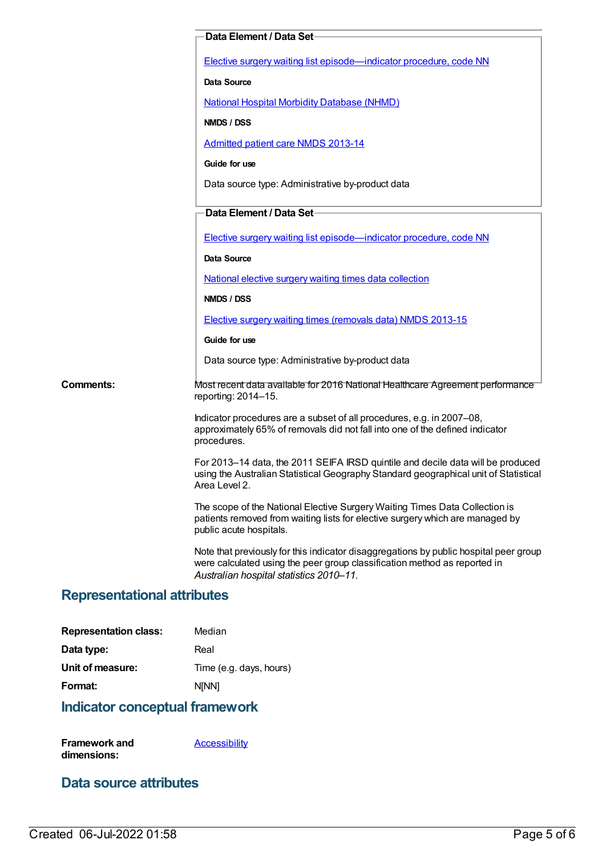|           | Data Element / Data Set-                                                                                                                                                                                      |
|-----------|---------------------------------------------------------------------------------------------------------------------------------------------------------------------------------------------------------------|
|           | Elective surgery waiting list episode-indicator procedure, code NN                                                                                                                                            |
|           | <b>Data Source</b>                                                                                                                                                                                            |
|           | <b>National Hospital Morbidity Database (NHMD)</b>                                                                                                                                                            |
|           | NMDS / DSS                                                                                                                                                                                                    |
|           | Admitted patient care NMDS 2013-14                                                                                                                                                                            |
|           | Guide for use                                                                                                                                                                                                 |
|           | Data source type: Administrative by-product data                                                                                                                                                              |
|           | Data Element / Data Set-                                                                                                                                                                                      |
|           | Elective surgery waiting list episode-indicator procedure, code NN                                                                                                                                            |
|           | Data Source                                                                                                                                                                                                   |
|           | National elective surgery waiting times data collection                                                                                                                                                       |
|           | NMDS / DSS                                                                                                                                                                                                    |
|           | Elective surgery waiting times (removals data) NMDS 2013-15                                                                                                                                                   |
|           | Guide for use                                                                                                                                                                                                 |
|           | Data source type: Administrative by-product data                                                                                                                                                              |
| Comments: | Most recent data available for 2016 National Healthcare Agreement performance<br>reporting: 2014-15.                                                                                                          |
|           | Indicator procedures are a subset of all procedures, e.g. in 2007–08,<br>approximately 65% of removals did not fall into one of the defined indicator<br>procedures.                                          |
|           | For 2013-14 data, the 2011 SEIFA IRSD quintile and decile data will be produced<br>using the Australian Statistical Geography Standard geographical unit of Statistical<br>Area Level 2.                      |
|           | The scope of the National Elective Surgery Waiting Times Data Collection is<br>patients removed from waiting lists for elective surgery which are managed by<br>public acute hospitals.                       |
|           | Note that previously for this indicator disaggregations by public hospital peer group<br>were calculated using the peer group classification method as reported in<br>Australian hospital statistics 2010-11. |

## **Representational attributes**

| <b>Representation class:</b> | Median                  |
|------------------------------|-------------------------|
| Data type:                   | Real                    |
| Unit of measure:             | Time (e.g. days, hours) |
| Format:                      | <b>NINN1</b>            |
|                              |                         |

## **Indicator conceptual framework**

**Framework and dimensions: [Accessibility](https://meteor.aihw.gov.au/content/392591)** 

## **Data source attributes**